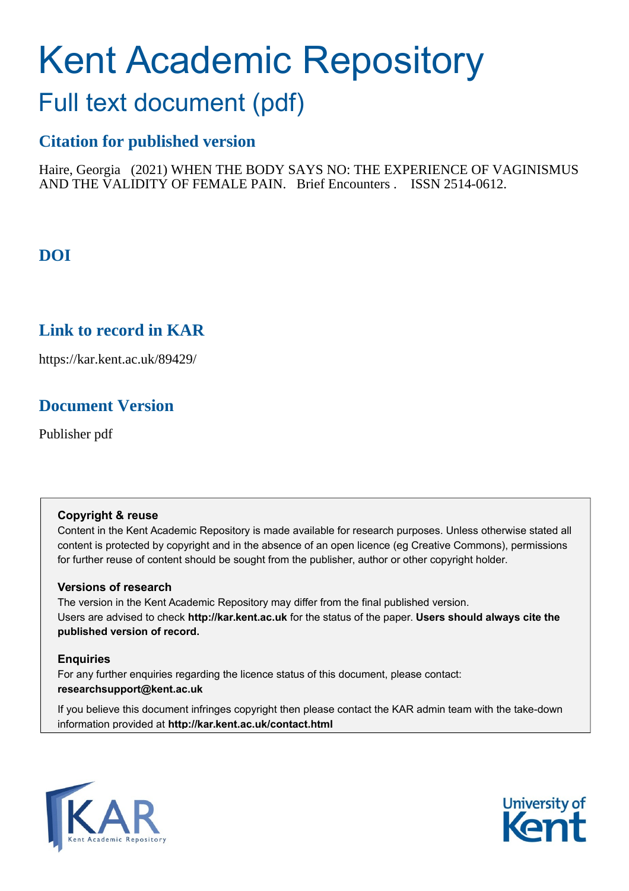# Kent Academic Repository

## Full text document (pdf)

## **Citation for published version**

Haire, Georgia (2021) WHEN THE BODY SAYS NO: THE EXPERIENCE OF VAGINISMUS AND THE VALIDITY OF FEMALE PAIN. Brief Encounters . ISSN 2514-0612.

## **DOI**

## **Link to record in KAR**

https://kar.kent.ac.uk/89429/

## **Document Version**

Publisher pdf

#### **Copyright & reuse**

Content in the Kent Academic Repository is made available for research purposes. Unless otherwise stated all content is protected by copyright and in the absence of an open licence (eg Creative Commons), permissions for further reuse of content should be sought from the publisher, author or other copyright holder.

#### **Versions of research**

The version in the Kent Academic Repository may differ from the final published version. Users are advised to check **http://kar.kent.ac.uk** for the status of the paper. **Users should always cite the published version of record.**

#### **Enquiries**

For any further enquiries regarding the licence status of this document, please contact: **researchsupport@kent.ac.uk**

If you believe this document infringes copyright then please contact the KAR admin team with the take-down information provided at **http://kar.kent.ac.uk/contact.html**



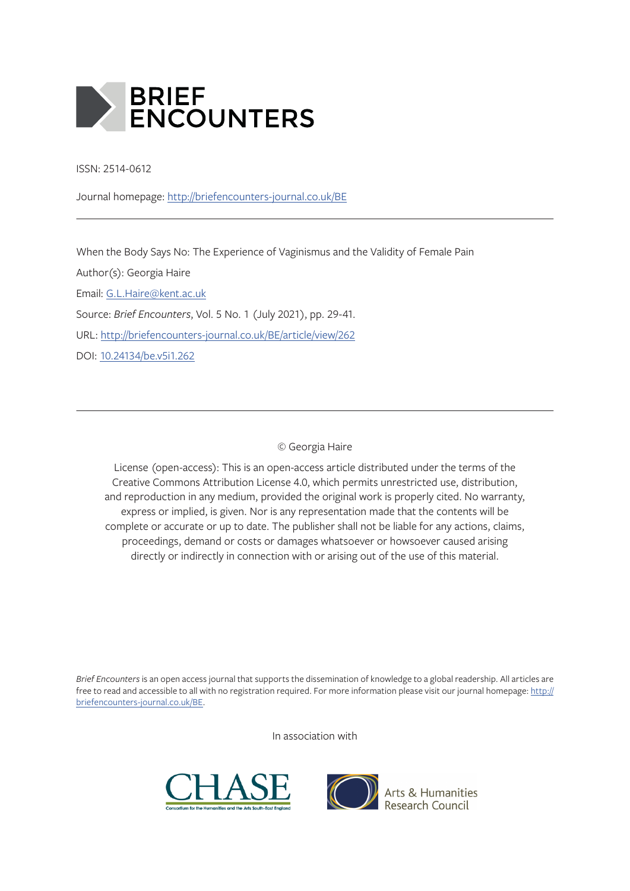

ISSN: 2514-0612

Journal homepage: http://briefencounters-journal.co.uk/BE

When the Body Says No: The Experience of Vaginismus and the Validity of Female Pain

Author(s): Georgia Haire Email: G.L.Haire@kent.ac.uk Source: *Brief Encounters*, Vol. 5 No. 1 (July 2021), pp. 29-41. URL: http://briefencounters-journal.co.uk/BE/article/view/262 DOI: 10.24134/be.v5i1.262

© Georgia Haire

License (open-access): This is an open-access article distributed under the terms of the Creative Commons Attribution License 4.0, which permits unrestricted use, distribution, and reproduction in any medium, provided the original work is properly cited. No warranty, express or implied, is given. Nor is any representation made that the contents will be complete or accurate or up to date. The publisher shall not be liable for any actions, claims, proceedings, demand or costs or damages whatsoever or howsoever caused arising directly or indirectly in connection with or arising out of the use of this material.

*Brief Encounters* is an open access journal that supports the dissemination of knowledge to a global readership. All articles are free to read and accessible to all with no registration required. For more information please visit our journal homepage: http:// briefencounters-journal.co.uk/BE.

In association with





Arts & Humanities<br>Research Council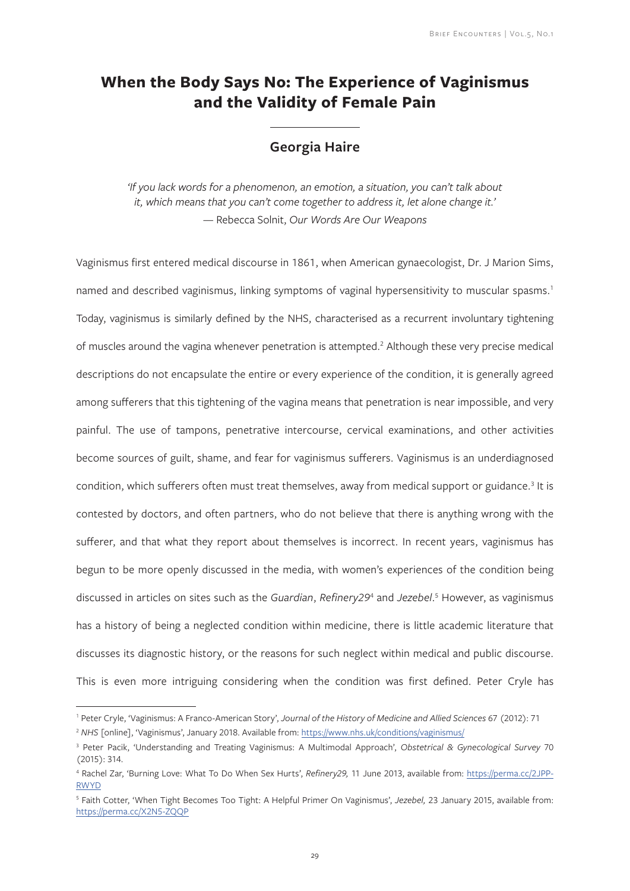## **When the Body Says No: The Experience of Vaginismus and the Validity of Female Pain**

#### **Georgia Haire**

*'If you lack words for a phenomenon, an emotion, a situation, you can't talk about it, which means that you can't come together to address it, let alone change it.' —* Rebecca Solnit, *Our Words Are Our Weapons* 

Vaginismus first entered medical discourse in 1861, when American gynaecologist, Dr. J Marion Sims, named and described vaginismus, linking symptoms of vaginal hypersensitivity to muscular spasms.<sup>1</sup> Today, vaginismus is similarly defined by the NHS, characterised as a recurrent involuntary tightening of muscles around the vagina whenever penetration is attempted.<sup>2</sup> Although these very precise medical descriptions do not encapsulate the entire or every experience of the condition, it is generally agreed among sufferers that this tightening of the vagina means that penetration is near impossible, and very painful. The use of tampons, penetrative intercourse, cervical examinations, and other activities become sources of guilt, shame, and fear for vaginismus sufferers. Vaginismus is an underdiagnosed condition, which sufferers often must treat themselves, away from medical support or guidance.<sup>3</sup> It is contested by doctors, and often partners, who do not believe that there is anything wrong with the sufferer, and that what they report about themselves is incorrect. In recent years, vaginismus has begun to be more openly discussed in the media, with women's experiences of the condition being discussed in articles on sites such as the *Guardian*, *Refinery29*<sup>4</sup> and *Jezebel*. 5 However, as vaginismus has a history of being a neglected condition within medicine, there is little academic literature that discusses its diagnostic history, or the reasons for such neglect within medical and public discourse. This is even more intriguing considering when the condition was first defined. Peter Cryle has

<sup>1</sup> Peter Cryle, 'Vaginismus: A Franco-American Story', *Journal of the History of Medicine and Allied Sciences* 67 (2012): 71 <sup>2</sup> *NHS* [online], 'Vaginismus', January 2018. Available from: https://www.nhs.uk/conditions/vaginismus/

<sup>3</sup> Peter Pacik, 'Understanding and Treating Vaginismus: A Multimodal Approach', *Obstetrical & Gynecological Survey* 70 (2015): 314.

<sup>4</sup> Rachel Zar, 'Burning Love: What To Do When Sex Hurts', *Refinery29,* 11 June 2013, available from: https://perma.cc/2JPP-RWYD

<sup>5</sup> Faith Cotter, 'When Tight Becomes Too Tight: A Helpful Primer On Vaginismus', *Jezebel,* 23 January 2015, available from: https://perma.cc/X2N5-ZQQP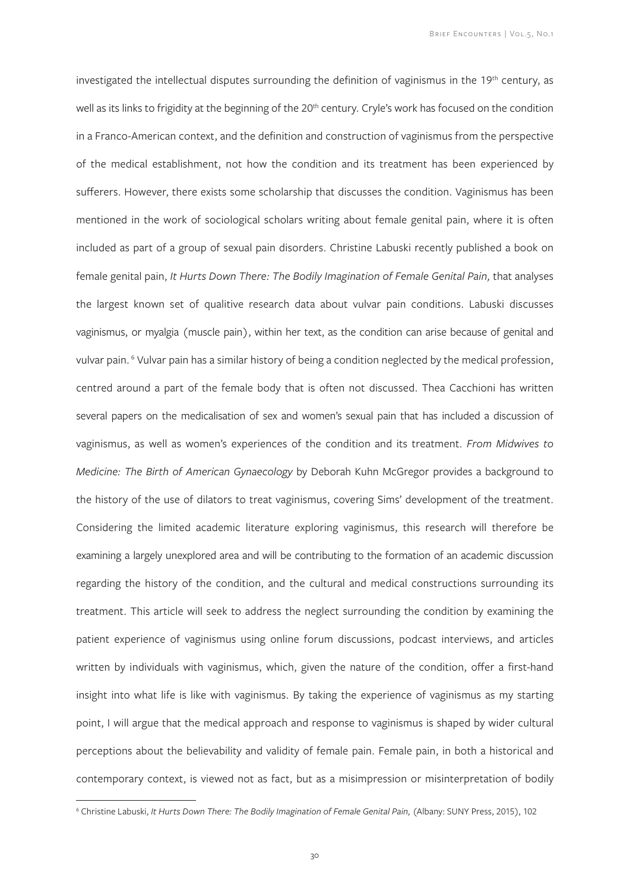investigated the intellectual disputes surrounding the definition of vaginismus in the 19<sup>th</sup> century, as well as its links to frigidity at the beginning of the 20<sup>th</sup> century. Cryle's work has focused on the condition in a Franco-American context, and the definition and construction of vaginismus from the perspective of the medical establishment, not how the condition and its treatment has been experienced by sufferers. However, there exists some scholarship that discusses the condition. Vaginismus has been mentioned in the work of sociological scholars writing about female genital pain, where it is often included as part of a group of sexual pain disorders. Christine Labuski recently published a book on female genital pain, *It Hurts Down There: The Bodily Imagination of Female Genital Pain*, that analyses the largest known set of qualitive research data about vulvar pain conditions. Labuski discusses vaginismus, or myalgia (muscle pain), within her text, as the condition can arise because of genital and vulvar pain.<sup>6</sup> Vulvar pain has a similar history of being a condition neglected by the medical profession, centred around a part of the female body that is often not discussed. Thea Cacchioni has written several papers on the medicalisation of sex and women's sexual pain that has included a discussion of vaginismus, as well as women's experiences of the condition and its treatment. *From Midwives to Medicine: The Birth of American Gynaecology* by Deborah Kuhn McGregor provides a background to the history of the use of dilators to treat vaginismus, covering Sims' development of the treatment. Considering the limited academic literature exploring vaginismus, this research will therefore be examining a largely unexplored area and will be contributing to the formation of an academic discussion regarding the history of the condition, and the cultural and medical constructions surrounding its treatment. This article will seek to address the neglect surrounding the condition by examining the patient experience of vaginismus using online forum discussions, podcast interviews, and articles written by individuals with vaginismus, which, given the nature of the condition, offer a first-hand insight into what life is like with vaginismus. By taking the experience of vaginismus as my starting point, I will argue that the medical approach and response to vaginismus is shaped by wider cultural perceptions about the believability and validity of female pain. Female pain, in both a historical and contemporary context, is viewed not as fact, but as a misimpression or misinterpretation of bodily

<sup>&</sup>lt;sup>6</sup> Christine Labuski, *It Hurts Down There: The Bodily Imagination of Female Genital Pain, (Albany: SUNY Press, 2015), 102*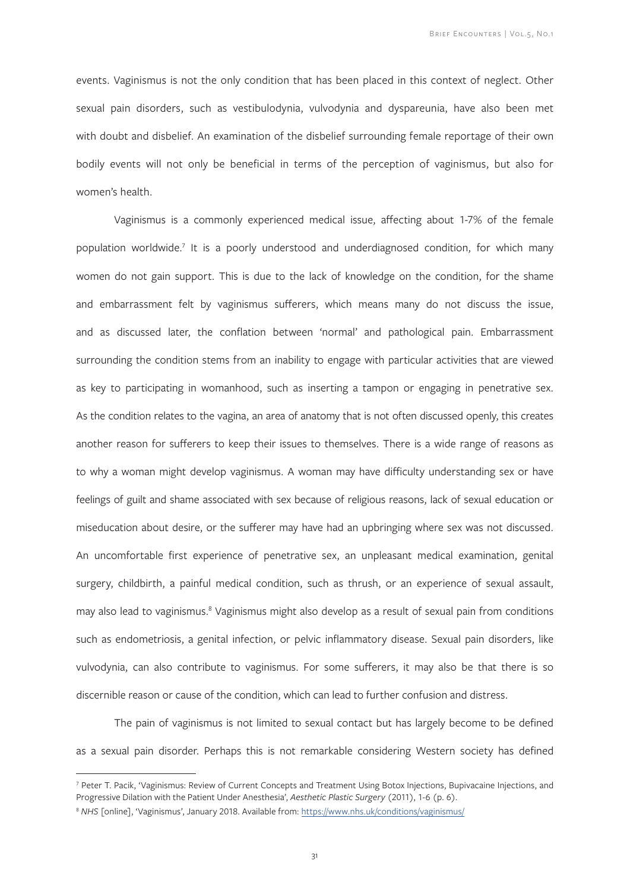events. Vaginismus is not the only condition that has been placed in this context of neglect. Other sexual pain disorders, such as vestibulodynia, vulvodynia and dyspareunia, have also been met with doubt and disbelief. An examination of the disbelief surrounding female reportage of their own bodily events will not only be beneficial in terms of the perception of vaginismus, but also for women's health.

Vaginismus is a commonly experienced medical issue, affecting about 1-7% of the female population worldwide.<sup>7</sup> It is a poorly understood and underdiagnosed condition, for which many women do not gain support. This is due to the lack of knowledge on the condition, for the shame and embarrassment felt by vaginismus sufferers, which means many do not discuss the issue, and as discussed later, the conflation between 'normal' and pathological pain. Embarrassment surrounding the condition stems from an inability to engage with particular activities that are viewed as key to participating in womanhood, such as inserting a tampon or engaging in penetrative sex. As the condition relates to the vagina, an area of anatomy that is not often discussed openly, this creates another reason for sufferers to keep their issues to themselves. There is a wide range of reasons as to why a woman might develop vaginismus. A woman may have difficulty understanding sex or have feelings of guilt and shame associated with sex because of religious reasons, lack of sexual education or miseducation about desire, or the sufferer may have had an upbringing where sex was not discussed. An uncomfortable first experience of penetrative sex, an unpleasant medical examination, genital surgery, childbirth, a painful medical condition, such as thrush, or an experience of sexual assault, may also lead to vaginismus.<sup>8</sup> Vaginismus might also develop as a result of sexual pain from conditions such as endometriosis, a genital infection, or pelvic inflammatory disease. Sexual pain disorders, like vulvodynia, can also contribute to vaginismus. For some sufferers, it may also be that there is so discernible reason or cause of the condition, which can lead to further confusion and distress.

The pain of vaginismus is not limited to sexual contact but has largely become to be defined as a sexual pain disorder. Perhaps this is not remarkable considering Western society has defined

<sup>&</sup>lt;sup>7</sup> Peter T. Pacik, 'Vaginismus: Review of Current Concepts and Treatment Using Botox Injections, Bupivacaine Injections, and Progressive Dilation with the Patient Under Anesthesia', *Aesthetic Plastic Surgery* (2011), 1-6 (p. 6).

<sup>8</sup> *NHS* [online], 'Vaginismus', January 2018. Available from: https://www.nhs.uk/conditions/vaginismus/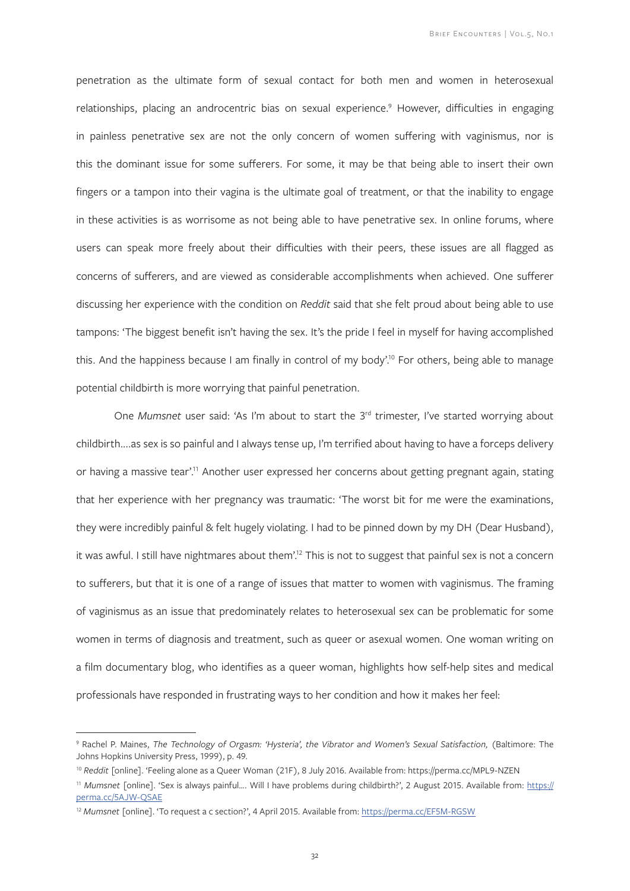penetration as the ultimate form of sexual contact for both men and women in heterosexual relationships, placing an androcentric bias on sexual experience.<sup>9</sup> However, difficulties in engaging in painless penetrative sex are not the only concern of women suffering with vaginismus, nor is this the dominant issue for some sufferers. For some, it may be that being able to insert their own fingers or a tampon into their vagina is the ultimate goal of treatment, or that the inability to engage in these activities is as worrisome as not being able to have penetrative sex. In online forums, where users can speak more freely about their difficulties with their peers, these issues are all flagged as concerns of sufferers, and are viewed as considerable accomplishments when achieved. One sufferer discussing her experience with the condition on *Reddit* said that she felt proud about being able to use tampons: 'The biggest benefit isn't having the sex. It's the pride I feel in myself for having accomplished this. And the happiness because I am finally in control of my body'.<sup>10</sup> For others, being able to manage potential childbirth is more worrying that painful penetration.

One *Mumsnet* user said: 'As I'm about to start the 3<sup>rd</sup> trimester, I've started worrying about childbirth....as sex is so painful and I always tense up, I'm terrified about having to have a forceps delivery or having a massive tear'.<sup>11</sup> Another user expressed her concerns about getting pregnant again, stating that her experience with her pregnancy was traumatic: 'The worst bit for me were the examinations, they were incredibly painful & felt hugely violating. I had to be pinned down by my DH (Dear Husband), it was awful. I still have nightmares about them'.<sup>12</sup> This is not to suggest that painful sex is not a concern to sufferers, but that it is one of a range of issues that matter to women with vaginismus. The framing of vaginismus as an issue that predominately relates to heterosexual sex can be problematic for some women in terms of diagnosis and treatment, such as queer or asexual women. One woman writing on a film documentary blog, who identifies as a queer woman, highlights how self-help sites and medical professionals have responded in frustrating ways to her condition and how it makes her feel:

<sup>&</sup>lt;sup>9</sup> Rachel P. Maines, *The Technology of Orgasm: 'Hysteria', the Vibrator and Women's Sexual Satisfaction, (Baltimore: The* Johns Hopkins University Press, 1999), p. 49.

<sup>10</sup> *Reddit* [online]. 'Feeling alone as a Queer Woman (21F), 8 July 2016. Available from: https://perma.cc/MPL9-NZEN

<sup>11</sup> *Mumsnet* [online]. 'Sex is always painful…. Will I have problems during childbirth?', 2 August 2015. Available from: https:// perma.cc/5AJW-QSAE

<sup>&</sup>lt;sup>12</sup> Mumsnet [online]. 'To request a c section?', 4 April 2015. Available from: https://perma.cc/EF5M-RGSW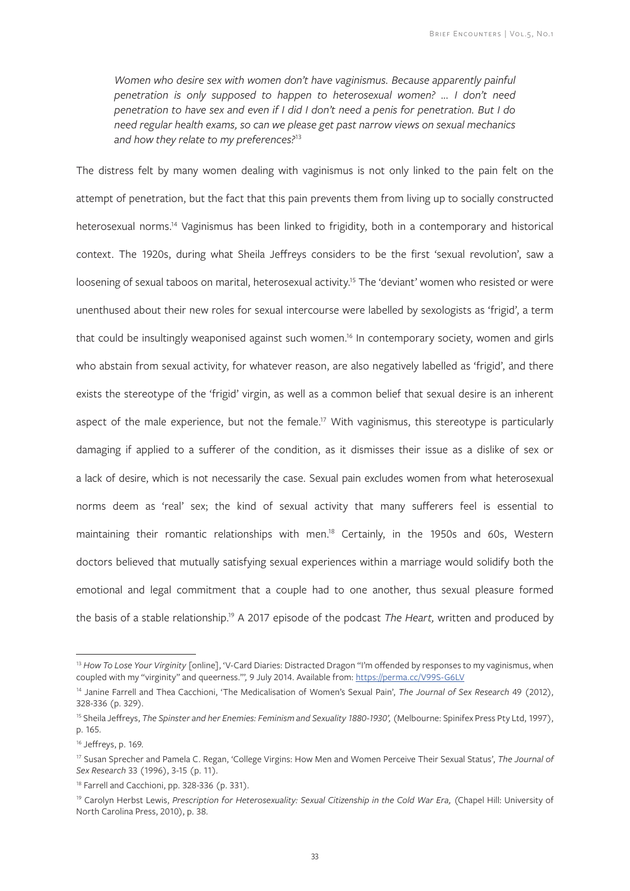Women who desire sex with women don't have vaginismus. Because apparently painful *penetration is only supposed to happen to heterosexual women? ... I don't need penetration to have sex and even if I did I don't need a penis for penetration. But I do need regular health exams, so can we please get past narrow views on sexual mechanics and how they relate to my preferences?*<sup>13</sup>

The distress felt by many women dealing with vaginismus is not only linked to the pain felt on the attempt of penetration, but the fact that this pain prevents them from living up to socially constructed heterosexual norms.<sup>14</sup> Vaginismus has been linked to frigidity, both in a contemporary and historical context. The 1920s, during what Sheila Jeffreys considers to be the first 'sexual revolution', saw a loosening of sexual taboos on marital, heterosexual activity.<sup>15</sup> The 'deviant' women who resisted or were unenthused about their new roles for sexual intercourse were labelled by sexologists as 'frigid', a term that could be insultingly weaponised against such women.<sup>16</sup> In contemporary society, women and girls who abstain from sexual activity, for whatever reason, are also negatively labelled as 'frigid', and there exists the stereotype of the 'frigid' virgin, as well as a common belief that sexual desire is an inherent aspect of the male experience, but not the female.<sup>17</sup> With vaginismus, this stereotype is particularly damaging if applied to a sufferer of the condition, as it dismisses their issue as a dislike of sex or a lack of desire, which is not necessarily the case. Sexual pain excludes women from what heterosexual norms deem as 'real' sex; the kind of sexual activity that many sufferers feel is essential to maintaining their romantic relationships with men.<sup>18</sup> Certainly, in the 1950s and 60s, Western doctors believed that mutually satisfying sexual experiences within a marriage would solidify both the emotional and legal commitment that a couple had to one another, thus sexual pleasure formed the basis of a stable relationship.19 A 2017 episode of the podcast *The Heart,* written and produced by

<sup>&</sup>lt;sup>13</sup> How To Lose Your Virginity [online], 'V-Card Diaries: Distracted Dragon "I'm offended by responses to my vaginismus, when coupled with my "virginity" and queerness."'*,* 9 July 2014. Available from: https://perma.cc/V99S-G6LV

<sup>14</sup> Janine Farrell and Thea Cacchioni, 'The Medicalisation of Women's Sexual Pain', *The Journal of Sex Research* 49 (2012), 328-336 (p. 329).

<sup>&</sup>lt;sup>15</sup> Sheila Jeffreys, *The Spinster and her Enemies: Feminism and Sexuality 1880-1930'*, (Melbourne: Spinifex Press Pty Ltd, 1997), p. 165.

<sup>16</sup> Jeffreys, p. 169.

<sup>17</sup> Susan Sprecher and Pamela C. Regan, 'College Virgins: How Men and Women Perceive Their Sexual Status', *The Journal of Sex Research* 33 (1996), 3-15 (p. 11).

<sup>&</sup>lt;sup>18</sup> Farrell and Cacchioni, pp. 328-336 (p. 331).

<sup>&</sup>lt;sup>19</sup> Carolyn Herbst Lewis, Prescription for Heterosexuality: Sexual Citizenship in the Cold War Era, (Chapel Hill: University of North Carolina Press, 2010), p. 38.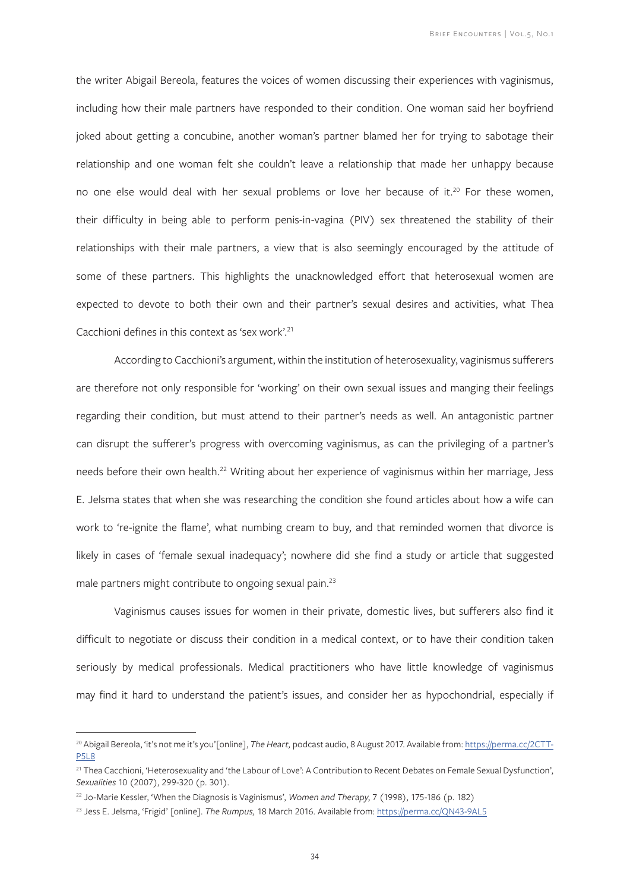the writer Abigail Bereola, features the voices of women discussing their experiences with vaginismus, including how their male partners have responded to their condition. One woman said her boyfriend joked about getting a concubine, another woman's partner blamed her for trying to sabotage their relationship and one woman felt she couldn't leave a relationship that made her unhappy because no one else would deal with her sexual problems or love her because of it.<sup>20</sup> For these women, their difficulty in being able to perform penis-in-vagina (PIV) sex threatened the stability of their relationships with their male partners, a view that is also seemingly encouraged by the attitude of some of these partners. This highlights the unacknowledged effort that heterosexual women are expected to devote to both their own and their partner's sexual desires and activities, what Thea Cacchioni defines in this context as 'sex work'.21

According to Cacchioni's argument, within the institution of heterosexuality, vaginismus sufferers are therefore not only responsible for 'working' on their own sexual issues and manging their feelings regarding their condition, but must attend to their partner's needs as well. An antagonistic partner can disrupt the sufferer's progress with overcoming vaginismus, as can the privileging of a partner's needs before their own health.<sup>22</sup> Writing about her experience of vaginismus within her marriage, Jess E. Jelsma states that when she was researching the condition she found articles about how a wife can work to 're-ignite the flame', what numbing cream to buy, and that reminded women that divorce is likely in cases of 'female sexual inadequacy'; nowhere did she find a study or article that suggested male partners might contribute to ongoing sexual pain.23

Vaginismus causes issues for women in their private, domestic lives, but sufferers also find it difficult to negotiate or discuss their condition in a medical context, or to have their condition taken seriously by medical professionals. Medical practitioners who have little knowledge of vaginismus may find it hard to understand the patient's issues, and consider her as hypochondrial, especially if

<sup>&</sup>lt;sup>20</sup> Abigail Bereola, 'it's not me it's you'[online], The Heart, podcast audio, 8 August 2017. Available from: https://perma.cc/2CTT-P5L8

<sup>&</sup>lt;sup>21</sup> Thea Cacchioni, 'Heterosexuality and 'the Labour of Love': A Contribution to Recent Debates on Female Sexual Dysfunction', *Sexualities* 10 (2007), 299-320 (p. 301).

<sup>22</sup> Jo-Marie Kessler, 'When the Diagnosis is Vaginismus', *Women and Therapy*, 7 (1998), 175-186 (p. 182)

<sup>23</sup> Jess E. Jelsma, 'Frigid' [online]. *The Rumpus,* 18 March 2016. Available from: https://perma.cc/QN43-9AL5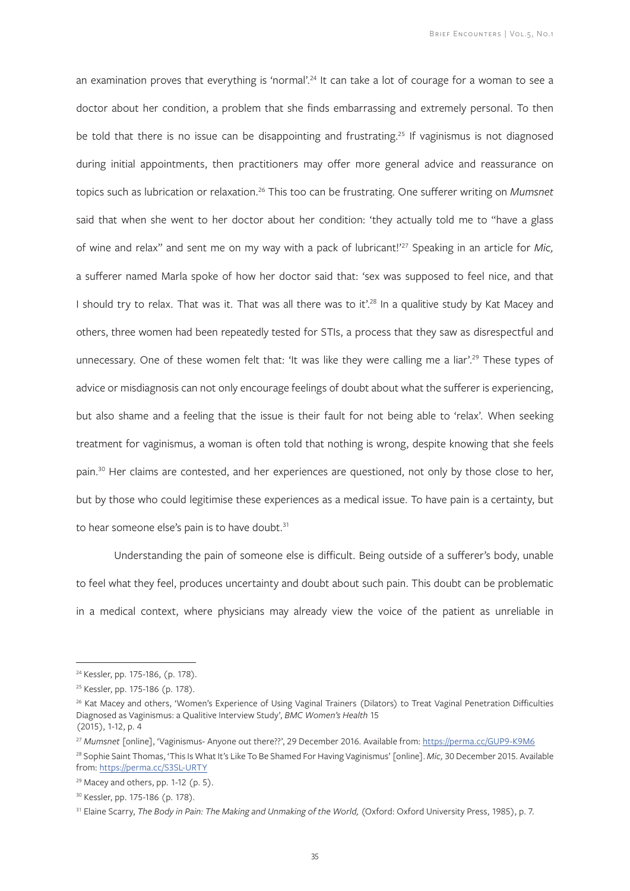an examination proves that everything is 'normal'.<sup>24</sup> It can take a lot of courage for a woman to see a doctor about her condition, a problem that she finds embarrassing and extremely personal. To then be told that there is no issue can be disappointing and frustrating.<sup>25</sup> If vaginismus is not diagnosed during initial appointments, then practitioners may offer more general advice and reassurance on topics such as lubrication or relaxation.26 This too can be frustrating. One sufferer writing on *Mumsnet*  said that when she went to her doctor about her condition: 'they actually told me to "have a glass of wine and relax" and sent me on my way with a pack of lubricant!'27 Speaking in an article for *Mic,* a sufferer named Marla spoke of how her doctor said that: 'sex was supposed to feel nice, and that I should try to relax. That was it. That was all there was to it'.<sup>28</sup> In a qualitive study by Kat Macey and others, three women had been repeatedly tested for STIs, a process that they saw as disrespectful and unnecessary. One of these women felt that: 'It was like they were calling me a liar'.<sup>29</sup> These types of advice or misdiagnosis can not only encourage feelings of doubt about what the sufferer is experiencing, but also shame and a feeling that the issue is their fault for not being able to 'relax'. When seeking treatment for vaginismus, a woman is often told that nothing is wrong, despite knowing that she feels pain.<sup>30</sup> Her claims are contested, and her experiences are questioned, not only by those close to her, but by those who could legitimise these experiences as a medical issue. To have pain is a certainty, but to hear someone else's pain is to have doubt.<sup>31</sup>

Understanding the pain of someone else is difficult. Being outside of a sufferer's body, unable to feel what they feel, produces uncertainty and doubt about such pain. This doubt can be problematic in a medical context, where physicians may already view the voice of the patient as unreliable in

<sup>24</sup> Kessler, pp. 175-186, (p. 178).

<sup>25</sup> Kessler, pp. 175-186 (p. 178).

<sup>&</sup>lt;sup>26</sup> Kat Macey and others, 'Women's Experience of Using Vaginal Trainers (Dilators) to Treat Vaginal Penetration Difficulties Diagnosed as Vaginismus: a Qualitive Interview Study', *BMC Women's Health* 15 (2015), 1-12, p. 4

<sup>27</sup> *Mumsnet* [online], 'Vaginismus- Anyone out there??', 29 December 2016. Available from: https://perma.cc/GUP9-K9M6

<sup>28</sup> Sophie Saint Thomas, 'This Is What It's Like To Be Shamed For Having Vaginismus' [online]. *Mic,* 30 December 2015. Available from: https://perma.cc/S3SL-URTY

 $29$  Macey and others, pp. 1-12 (p. 5).

<sup>30</sup> Kessler, pp. 175-186 (p. 178).

<sup>&</sup>lt;sup>31</sup> Elaine Scarry, *The Body in Pain: The Making and Unmaking of the World, (Oxford: Oxford University Press, 1985), p. 7.*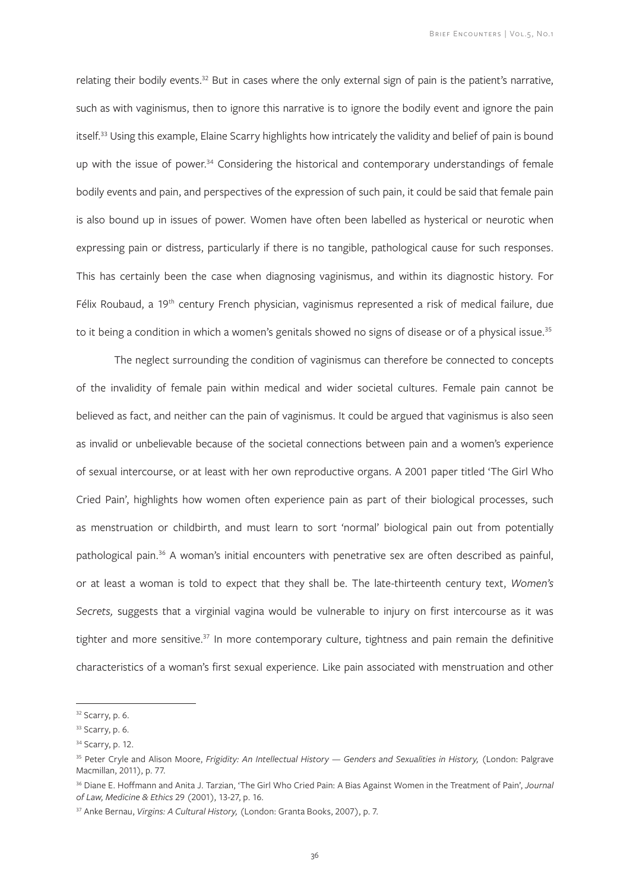relating their bodily events.<sup>32</sup> But in cases where the only external sign of pain is the patient's narrative, such as with vaginismus, then to ignore this narrative is to ignore the bodily event and ignore the pain itself.33 Using this example, Elaine Scarry highlights how intricately the validity and belief of pain is bound up with the issue of power.<sup>34</sup> Considering the historical and contemporary understandings of female bodily events and pain, and perspectives of the expression of such pain, it could be said that female pain is also bound up in issues of power. Women have often been labelled as hysterical or neurotic when expressing pain or distress, particularly if there is no tangible, pathological cause for such responses. This has certainly been the case when diagnosing vaginismus, and within its diagnostic history. For Félix Roubaud, a 19<sup>th</sup> century French physician, vaginismus represented a risk of medical failure, due to it being a condition in which a women's genitals showed no signs of disease or of a physical issue.<sup>35</sup>

The neglect surrounding the condition of vaginismus can therefore be connected to concepts of the invalidity of female pain within medical and wider societal cultures. Female pain cannot be believed as fact, and neither can the pain of vaginismus. It could be argued that vaginismus is also seen as invalid or unbelievable because of the societal connections between pain and a women's experience of sexual intercourse, or at least with her own reproductive organs. A 2001 paper titled 'The Girl Who Cried Pain', highlights how women often experience pain as part of their biological processes, such as menstruation or childbirth, and must learn to sort 'normal' biological pain out from potentially pathological pain.36 A woman's initial encounters with penetrative sex are often described as painful, or at least a woman is told to expect that they shall be. The late-thirteenth century text, *Women's Secrets,* suggests that a virginial vagina would be vulnerable to injury on first intercourse as it was tighter and more sensitive.<sup>37</sup> In more contemporary culture, tightness and pain remain the definitive characteristics of a woman's first sexual experience. Like pain associated with menstruation and other

<sup>&</sup>lt;sup>32</sup> Scarry, p. 6.

<sup>33</sup> Scarry, p. 6.

<sup>&</sup>lt;sup>34</sup> Scarry, p. 12.

<sup>&</sup>lt;sup>35</sup> Peter Cryle and Alison Moore, *Frigidity: An Intellectual History — Genders and Sexualities in History, (London: Palgrave* Macmillan, 2011), p. 77.

<sup>36</sup> Diane E. Hoffmann and Anita J. Tarzian, 'The Girl Who Cried Pain: A Bias Against Women in the Treatment of Pain', *Journal of Law, Medicine & Ethics* 29 (2001), 13-27, p. 16.

<sup>37</sup> Anke Bernau, *Virgins: A Cultural History,* (London: Granta Books, 2007), p. 7.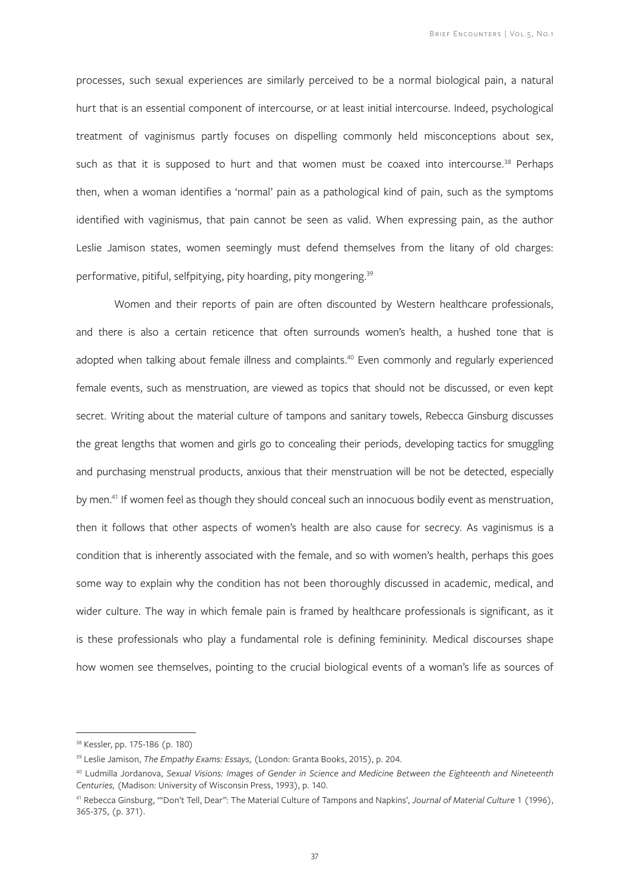processes, such sexual experiences are similarly perceived to be a normal biological pain, a natural hurt that is an essential component of intercourse, or at least initial intercourse. Indeed, psychological treatment of vaginismus partly focuses on dispelling commonly held misconceptions about sex, such as that it is supposed to hurt and that women must be coaxed into intercourse.<sup>38</sup> Perhaps then, when a woman identifies a 'normal' pain as a pathological kind of pain, such as the symptoms identified with vaginismus, that pain cannot be seen as valid. When expressing pain, as the author Leslie Jamison states, women seemingly must defend themselves from the litany of old charges: performative, pitiful, selfpitying, pity hoarding, pity mongering.<sup>39</sup>

Women and their reports of pain are often discounted by Western healthcare professionals, and there is also a certain reticence that often surrounds women's health, a hushed tone that is adopted when talking about female illness and complaints.<sup>40</sup> Even commonly and regularly experienced female events, such as menstruation, are viewed as topics that should not be discussed, or even kept secret. Writing about the material culture of tampons and sanitary towels, Rebecca Ginsburg discusses the great lengths that women and girls go to concealing their periods, developing tactics for smuggling and purchasing menstrual products, anxious that their menstruation will be not be detected, especially by men.41 If women feel as though they should conceal such an innocuous bodily event as menstruation, then it follows that other aspects of women's health are also cause for secrecy. As vaginismus is a condition that is inherently associated with the female, and so with women's health, perhaps this goes some way to explain why the condition has not been thoroughly discussed in academic, medical, and wider culture. The way in which female pain is framed by healthcare professionals is significant, as it is these professionals who play a fundamental role is defining femininity. Medical discourses shape how women see themselves, pointing to the crucial biological events of a woman's life as sources of

<sup>38</sup> Kessler, pp. 175-186 (p. 180)

<sup>39</sup> Leslie Jamison, *The Empathy Exams: Essays,* (London: Granta Books, 2015), p. 204.

<sup>40</sup> Ludmilla Jordanova, *Sexual Visions: Images of Gender in Science and Medicine Between the Eighteenth and Nineteenth Centuries,* (Madison: University of Wisconsin Press, 1993), p. 140.

<sup>41</sup> Rebecca Ginsburg, '"Don't Tell, Dear": The Material Culture of Tampons and Napkins', *Journal of Material Culture* 1 (1996), 365-375, (p. 371).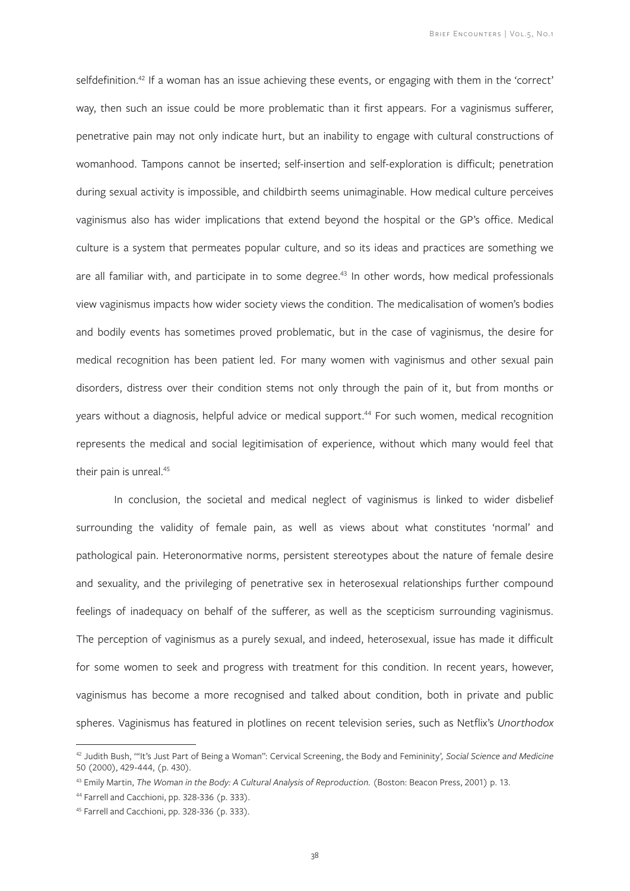selfdefinition.<sup>42</sup> If a woman has an issue achieving these events, or engaging with them in the 'correct' way, then such an issue could be more problematic than it first appears. For a vaginismus sufferer, penetrative pain may not only indicate hurt, but an inability to engage with cultural constructions of womanhood. Tampons cannot be inserted; self-insertion and self-exploration is difficult; penetration during sexual activity is impossible, and childbirth seems unimaginable. How medical culture perceives vaginismus also has wider implications that extend beyond the hospital or the GP's office. Medical culture is a system that permeates popular culture, and so its ideas and practices are something we are all familiar with, and participate in to some degree.<sup>43</sup> In other words, how medical professionals view vaginismus impacts how wider society views the condition. The medicalisation of women's bodies and bodily events has sometimes proved problematic, but in the case of vaginismus, the desire for medical recognition has been patient led. For many women with vaginismus and other sexual pain disorders, distress over their condition stems not only through the pain of it, but from months or years without a diagnosis, helpful advice or medical support.<sup>44</sup> For such women, medical recognition represents the medical and social legitimisation of experience, without which many would feel that their pain is unreal.<sup>45</sup>

In conclusion, the societal and medical neglect of vaginismus is linked to wider disbelief surrounding the validity of female pain, as well as views about what constitutes 'normal' and pathological pain. Heteronormative norms, persistent stereotypes about the nature of female desire and sexuality, and the privileging of penetrative sex in heterosexual relationships further compound feelings of inadequacy on behalf of the sufferer, as well as the scepticism surrounding vaginismus. The perception of vaginismus as a purely sexual, and indeed, heterosexual, issue has made it difficult for some women to seek and progress with treatment for this condition. In recent years, however, vaginismus has become a more recognised and talked about condition, both in private and public spheres. Vaginismus has featured in plotlines on recent television series, such as Netflix's *Unorthodox*

<sup>42</sup> Judith Bush, '"It's Just Part of Being a Woman": Cervical Screening, the Body and Femininity'*, Social Science and Medicine* 50 (2000), 429-444, (p. 430).

<sup>&</sup>lt;sup>43</sup> Emily Martin, *The Woman in the Body: A Cultural Analysis of Reproduction. (Boston: Beacon Press, 2001) p. 13.* 

<sup>44</sup> Farrell and Cacchioni, pp. 328-336 (p. 333).

<sup>45</sup> Farrell and Cacchioni, pp. 328-336 (p. 333).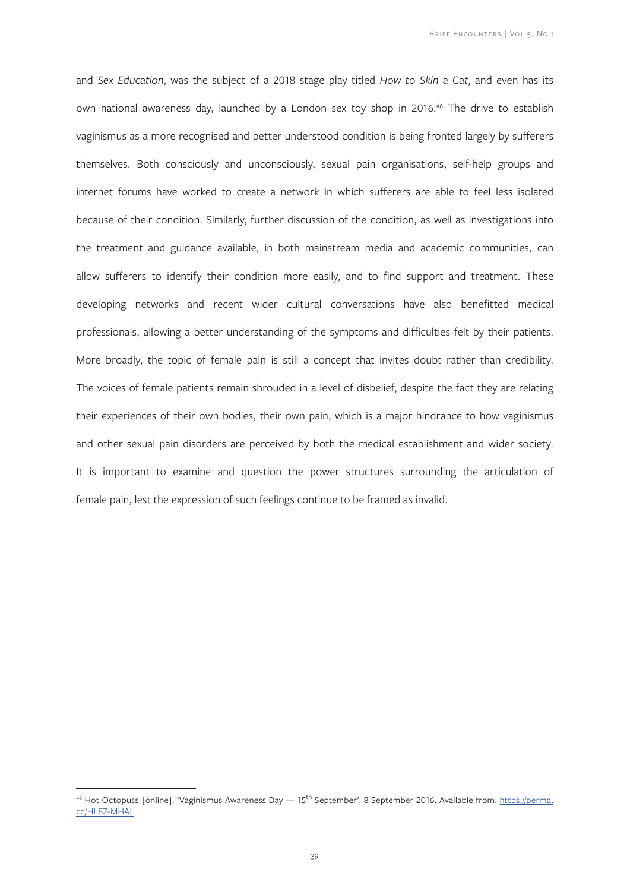and *Sex Education*, was the subject of a 2018 stage play titled *How to Skin a Cat*, and even has its own national awareness day, launched by a London sex toy shop in 2016.<sup>46</sup> The drive to establish vaginismus as a more recognised and better understood condition is being fronted largely by sufferers themselves. Both consciously and unconsciously, sexual pain organisations, self-help groups and internet forums have worked to create a network in which sufferers are able to feel less isolated because of their condition. Similarly, further discussion of the condition, as well as investigations into the treatment and guidance available, in both mainstream media and academic communities, can allow sufferers to identify their condition more easily, and to find support and treatment. These developing networks and recent wider cultural conversations have also benefitted medical professionals, allowing a better understanding of the symptoms and difficulties felt by their patients. More broadly, the topic of female pain is still a concept that invites doubt rather than credibility. The voices of female patients remain shrouded in a level of disbelief, despite the fact they are relating their experiences of their own bodies, their own pain, which is a major hindrance to how vaginismus and other sexual pain disorders are perceived by both the medical establishment and wider society. It is important to examine and question the power structures surrounding the articulation of female pain, lest the expression of such feelings continue to be framed as invalid.

<sup>&</sup>lt;sup>46</sup> Hot Octopuss [online]. 'Vaginismus Awareness Day — 15<sup>th</sup> September', 8 September 2016. Available from: https://perma. cc/HL8Z-MHAL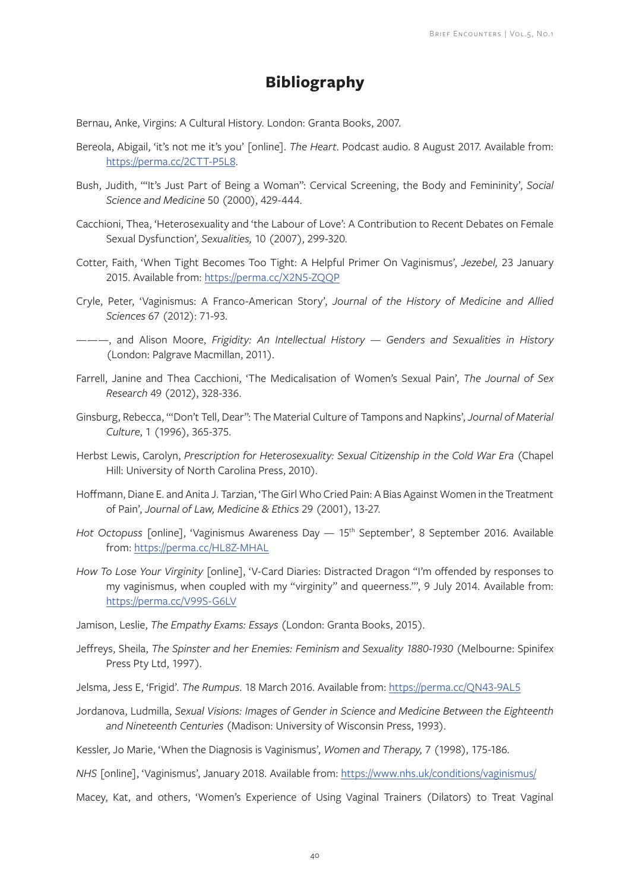### **Bibliography**

Bernau, Anke, Virgins: A Cultural History. London: Granta Books, 2007.

- Bereola, Abigail, 'it's not me it's you' [online]. *The Heart*. Podcast audio. 8 August 2017. Available from: https://perma.cc/2CTT-P5L8.
- Bush, Judith, '"It's Just Part of Being a Woman": Cervical Screening, the Body and Femininity', *Social Science and Medicine* 50 (2000), 429-444.
- Cacchioni, Thea, 'Heterosexuality and 'the Labour of Love': A Contribution to Recent Debates on Female Sexual Dysfunction', *Sexualities,* 10 (2007), 299-320.
- Cotter, Faith, 'When Tight Becomes Too Tight: A Helpful Primer On Vaginismus', *Jezebel,* 23 January 2015. Available from: https://perma.cc/X2N5-ZQQP
- Cryle, Peter, 'Vaginismus: A Franco-American Story', *Journal of the History of Medicine and Allied Sciences* 67 (2012): 71-93.
- ———, and Alison Moore, *Frigidity: An Intellectual History Genders and Sexualities in History* (London: Palgrave Macmillan, 2011).
- Farrell, Janine and Thea Cacchioni, 'The Medicalisation of Women's Sexual Pain', *The Journal of Sex Research* 49 (2012), 328-336.
- Ginsburg, Rebecca, '"Don't Tell, Dear": The Material Culture of Tampons and Napkins', *Journal of Material Culture*, 1 (1996), 365-375.
- Herbst Lewis, Carolyn, *Prescription for Heterosexuality: Sexual Citizenship in the Cold War Era* (Chapel Hill: University of North Carolina Press, 2010).
- Hoffmann, Diane E. and Anita J. Tarzian, 'The Girl Who Cried Pain: A Bias Against Women in the Treatment of Pain', *Journal of Law, Medicine & Ethics* 29 (2001), 13-27.
- *Hot Octopuss* [online], 'Vaginismus Awareness Day 15th September', 8 September 2016. Available from: https://perma.cc/HL8Z-MHAL
- *How To Lose Your Virginity* [online], 'V-Card Diaries: Distracted Dragon "I'm offended by responses to my vaginismus, when coupled with my "virginity" and queerness."', 9 July 2014. Available from: https://perma.cc/V99S-G6LV

Jamison, Leslie, *The Empathy Exams: Essays* (London: Granta Books, 2015).

- Jeffreys, Sheila, *The Spinster and her Enemies: Feminism and Sexuality 1880-1930* (Melbourne: Spinifex Press Pty Ltd, 1997).
- Jelsma, Jess E, 'Frigid'. *The Rumpus*. 18 March 2016. Available from: https://perma.cc/QN43-9AL5
- Jordanova, Ludmilla, *Sexual Visions: Images of Gender in Science and Medicine Between the Eighteenth and Nineteenth Centuries* (Madison: University of Wisconsin Press, 1993).
- Kessler, Jo Marie, 'When the Diagnosis is Vaginismus', *Women and Therapy,* 7 (1998), 175-186.

*NHS* [online], 'Vaginismus', January 2018. Available from: https://www.nhs.uk/conditions/vaginismus/

Macey, Kat, and others, 'Women's Experience of Using Vaginal Trainers (Dilators) to Treat Vaginal